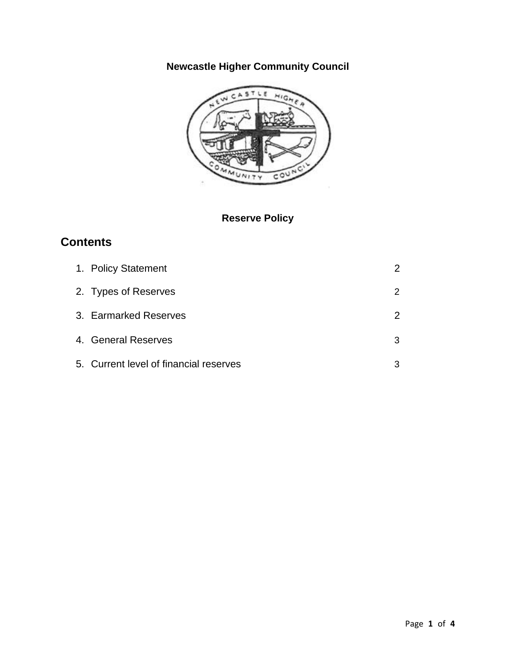# **Newcastle Higher Community Council**



## **Reserve Policy**

## **Contents**

| 1. Policy Statement                    | $\mathcal{P}$ |
|----------------------------------------|---------------|
| 2. Types of Reserves                   | 2             |
| 3. Earmarked Reserves                  | $\mathcal{P}$ |
| 4. General Reserves                    | 3             |
| 5. Current level of financial reserves | 3             |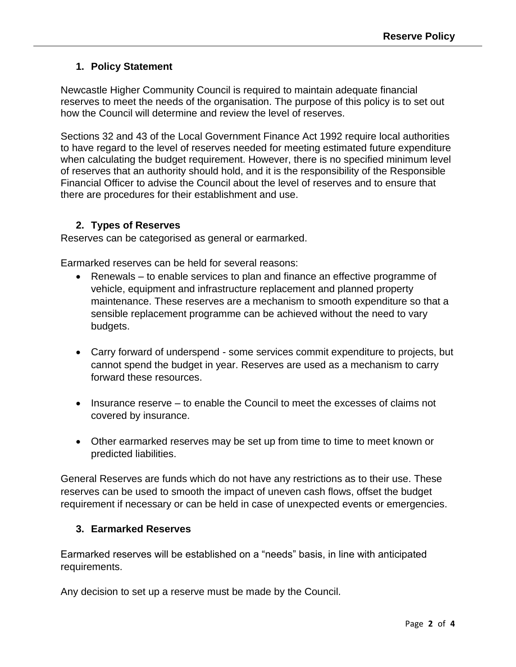#### **1. Policy Statement**

Newcastle Higher Community Council is required to maintain adequate financial reserves to meet the needs of the organisation. The purpose of this policy is to set out how the Council will determine and review the level of reserves.

Sections 32 and 43 of the Local Government Finance Act 1992 require local authorities to have regard to the level of reserves needed for meeting estimated future expenditure when calculating the budget requirement. However, there is no specified minimum level of reserves that an authority should hold, and it is the responsibility of the Responsible Financial Officer to advise the Council about the level of reserves and to ensure that there are procedures for their establishment and use.

### **2. Types of Reserves**

Reserves can be categorised as general or earmarked.

Earmarked reserves can be held for several reasons:

- Renewals to enable services to plan and finance an effective programme of vehicle, equipment and infrastructure replacement and planned property maintenance. These reserves are a mechanism to smooth expenditure so that a sensible replacement programme can be achieved without the need to vary budgets.
- Carry forward of underspend some services commit expenditure to projects, but cannot spend the budget in year. Reserves are used as a mechanism to carry forward these resources.
- Insurance reserve to enable the Council to meet the excesses of claims not covered by insurance.
- Other earmarked reserves may be set up from time to time to meet known or predicted liabilities.

General Reserves are funds which do not have any restrictions as to their use. These reserves can be used to smooth the impact of uneven cash flows, offset the budget requirement if necessary or can be held in case of unexpected events or emergencies.

### **3. Earmarked Reserves**

Earmarked reserves will be established on a "needs" basis, in line with anticipated requirements.

Any decision to set up a reserve must be made by the Council.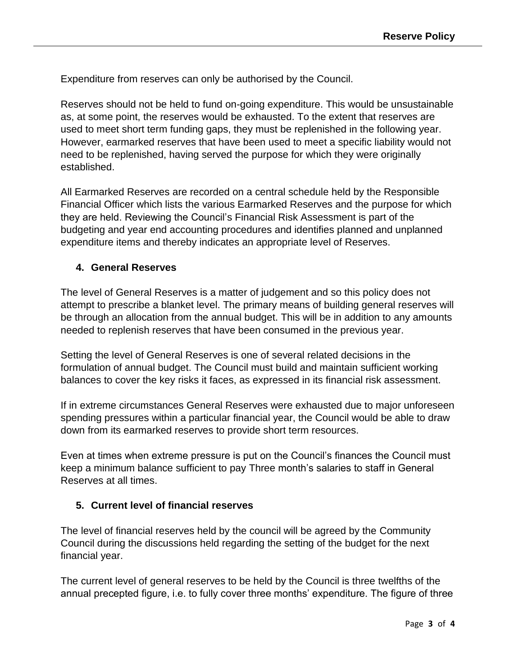Expenditure from reserves can only be authorised by the Council.

Reserves should not be held to fund on-going expenditure. This would be unsustainable as, at some point, the reserves would be exhausted. To the extent that reserves are used to meet short term funding gaps, they must be replenished in the following year. However, earmarked reserves that have been used to meet a specific liability would not need to be replenished, having served the purpose for which they were originally established.

All Earmarked Reserves are recorded on a central schedule held by the Responsible Financial Officer which lists the various Earmarked Reserves and the purpose for which they are held. Reviewing the Council's Financial Risk Assessment is part of the budgeting and year end accounting procedures and identifies planned and unplanned expenditure items and thereby indicates an appropriate level of Reserves.

#### **4. General Reserves**

The level of General Reserves is a matter of judgement and so this policy does not attempt to prescribe a blanket level. The primary means of building general reserves will be through an allocation from the annual budget. This will be in addition to any amounts needed to replenish reserves that have been consumed in the previous year.

Setting the level of General Reserves is one of several related decisions in the formulation of annual budget. The Council must build and maintain sufficient working balances to cover the key risks it faces, as expressed in its financial risk assessment.

If in extreme circumstances General Reserves were exhausted due to major unforeseen spending pressures within a particular financial year, the Council would be able to draw down from its earmarked reserves to provide short term resources.

Even at times when extreme pressure is put on the Council's finances the Council must keep a minimum balance sufficient to pay Three month's salaries to staff in General Reserves at all times.

#### **5. Current level of financial reserves**

The level of financial reserves held by the council will be agreed by the Community Council during the discussions held regarding the setting of the budget for the next financial year.

The current level of general reserves to be held by the Council is three twelfths of the annual precepted figure, i.e. to fully cover three months' expenditure. The figure of three